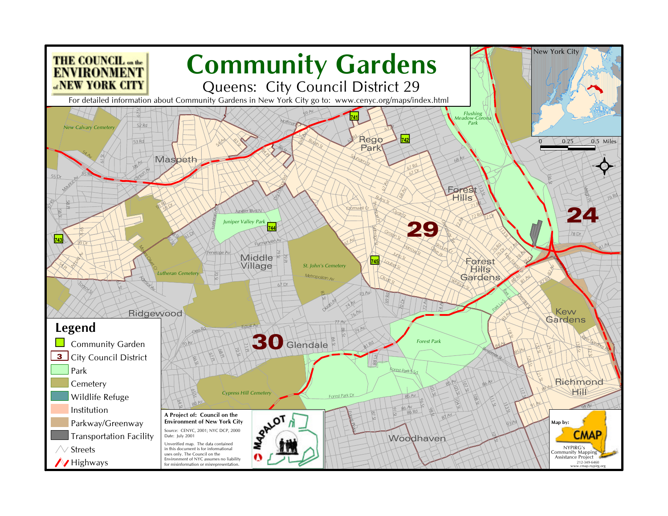